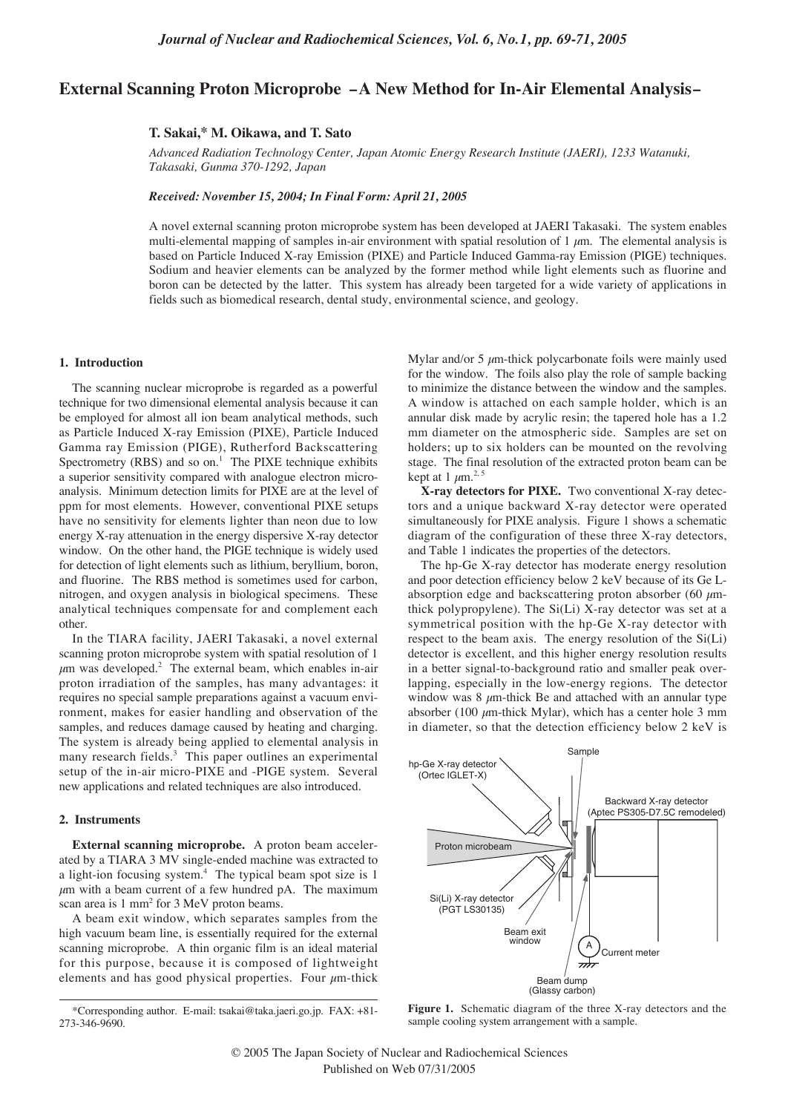# **External Scanning Proton Microprobe –A New Method for In-Air Elemental Analysis–**

## **T. Sakai,\* M. Oikawa, and T. Sato**

*Advanced Radiation Technology Center, Japan Atomic Energy Research Institute (JAERI), 1233 Watanuki, Takasaki, Gunma 370-1292, Japan*

*Received: November 15, 2004; In Final Form: April 21, 2005*

A novel external scanning proton microprobe system has been developed at JAERI Takasaki. The system enables multi-elemental mapping of samples in-air environment with spatial resolution of 1  $\mu$ m. The elemental analysis is based on Particle Induced X-ray Emission (PIXE) and Particle Induced Gamma-ray Emission (PIGE) techniques. Sodium and heavier elements can be analyzed by the former method while light elements such as fluorine and boron can be detected by the latter. This system has already been targeted for a wide variety of applications in fields such as biomedical research, dental study, environmental science, and geology.

# **1. Introduction**

The scanning nuclear microprobe is regarded as a powerful technique for two dimensional elemental analysis because it can be employed for almost all ion beam analytical methods, such as Particle Induced X-ray Emission (PIXE), Particle Induced Gamma ray Emission (PIGE), Rutherford Backscattering Spectrometry  $(RBS)$  and so on.<sup>1</sup> The PIXE technique exhibits a superior sensitivity compared with analogue electron microanalysis. Minimum detection limits for PIXE are at the level of ppm for most elements. However, conventional PIXE setups have no sensitivity for elements lighter than neon due to low energy X-ray attenuation in the energy dispersive X-ray detector window. On the other hand, the PIGE technique is widely used for detection of light elements such as lithium, beryllium, boron, and fluorine. The RBS method is sometimes used for carbon, nitrogen, and oxygen analysis in biological specimens. These analytical techniques compensate for and complement each other.

In the TIARA facility, JAERI Takasaki, a novel external scanning proton microprobe system with spatial resolution of 1  $\mu$ m was developed.<sup>2</sup> The external beam, which enables in-air proton irradiation of the samples, has many advantages: it requires no special sample preparations against a vacuum environment, makes for easier handling and observation of the samples, and reduces damage caused by heating and charging. The system is already being applied to elemental analysis in many research fields.<sup>3</sup> This paper outlines an experimental setup of the in-air micro-PIXE and -PIGE system. Several new applications and related techniques are also introduced.

## **2. Instruments**

**External scanning microprobe.** A proton beam accelerated by a TIARA 3 MV single-ended machine was extracted to a light-ion focusing system.4 The typical beam spot size is 1  $\mu$ m with a beam current of a few hundred pA. The maximum scan area is 1 mm<sup>2</sup> for 3 MeV proton beams.

A beam exit window, which separates samples from the high vacuum beam line, is essentially required for the external scanning microprobe. A thin organic film is an ideal material for this purpose, because it is composed of lightweight elements and has good physical properties. Four  $\mu$ m-thick

Mylar and/or 5  $\mu$ m-thick polycarbonate foils were mainly used for the window. The foils also play the role of sample backing to minimize the distance between the window and the samples. A window is attached on each sample holder, which is an annular disk made by acrylic resin; the tapered hole has a 1.2 mm diameter on the atmospheric side. Samples are set on holders; up to six holders can be mounted on the revolving stage. The final resolution of the extracted proton beam can be kept at 1  $\mu$ m.<sup>2, 5</sup>

**X-ray detectors for PIXE.** Two conventional X-ray detectors and a unique backward X-ray detector were operated simultaneously for PIXE analysis. Figure 1 shows a schematic diagram of the configuration of these three X-ray detectors, and Table 1 indicates the properties of the detectors.

The hp-Ge X-ray detector has moderate energy resolution and poor detection efficiency below 2 keV because of its Ge Labsorption edge and backscattering proton absorber (60  $\mu$ mthick polypropylene). The Si(Li) X-ray detector was set at a symmetrical position with the hp-Ge X-ray detector with respect to the beam axis. The energy resolution of the Si(Li) detector is excellent, and this higher energy resolution results in a better signal-to-background ratio and smaller peak overlapping, especially in the low-energy regions. The detector window was  $8 \mu$ m-thick Be and attached with an annular type absorber (100  $\mu$ m-thick Mylar), which has a center hole 3 mm in diameter, so that the detection efficiency below 2 keV is



**Figure 1.** Schematic diagram of the three X-ray detectors and the sample cooling system arrangement with a sample.

<sup>\*</sup>Corresponding author. E-mail: tsakai@taka.jaeri.go.jp. FAX: +81- 273-346-9690.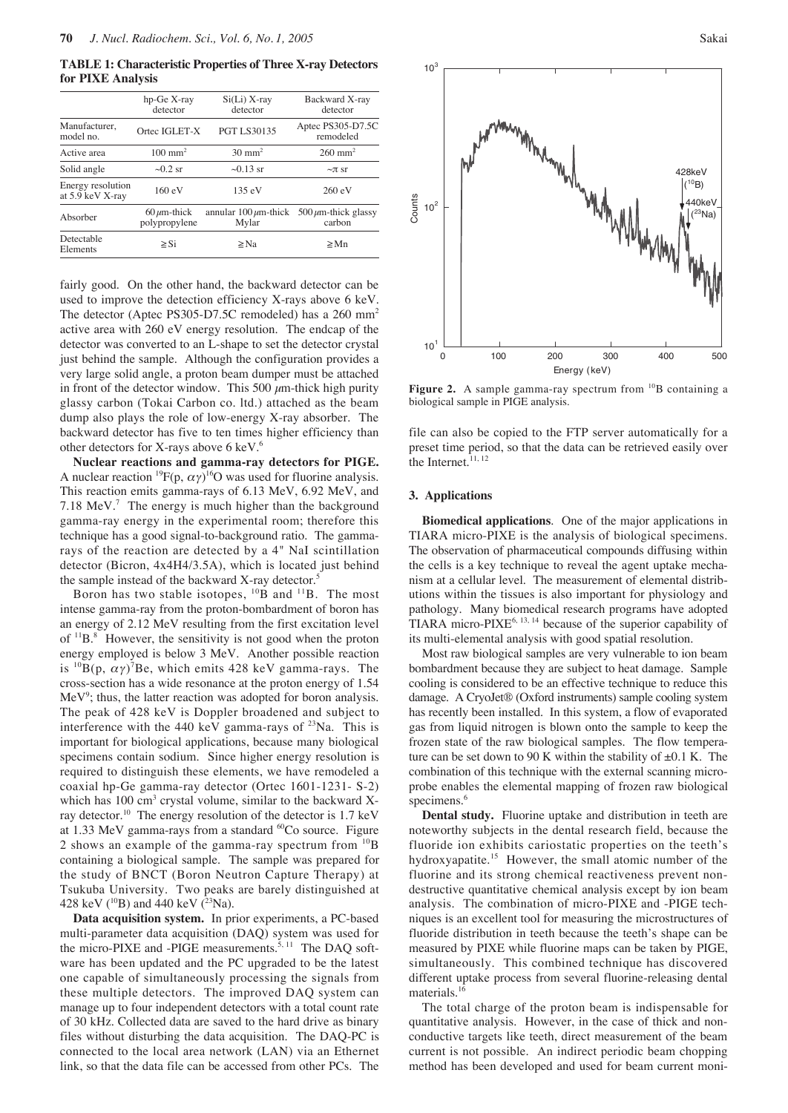**TABLE 1: Characteristic Properties of Three X-ray Detectors for PIXE Analysis**

|                                       | $hp-Ge X-ray$<br>detector          | $Si(Li)$ X-ray<br>detector          | Backward X-ray<br>detector          |
|---------------------------------------|------------------------------------|-------------------------------------|-------------------------------------|
| Manufacturer.<br>model no.            | Ortec IGLET-X                      | <b>PGT LS30135</b>                  | Aptec PS305-D7.5C<br>remodeled      |
| Active area                           | $100 \text{ mm}^2$                 | $30 \text{ mm}^2$                   | $260 \text{ mm}^2$                  |
| Solid angle                           | $\sim 0.2$ sr                      | $\sim 0.13$ sr                      | $\sim$ $\pi$ sr                     |
| Energy resolution<br>at 5.9 keV X-ray | 160 eV                             | 135eV                               | 260 eV                              |
| Absorber                              | $60 \mu m$ -thick<br>polypropylene | annular $100 \mu m$ -thick<br>Mylar | $500 \mu m$ -thick glassy<br>carbon |
| Detectable<br>Elements                | $\geq$ Si                          | $\geq$ Na                           | $\geq$ Mn                           |

fairly good. On the other hand, the backward detector can be used to improve the detection efficiency X-rays above 6 keV. The detector (Aptec PS305-D7.5C remodeled) has a 260 mm<sup>2</sup> active area with 260 eV energy resolution. The endcap of the detector was converted to an L-shape to set the detector crystal just behind the sample. Although the configuration provides a very large solid angle, a proton beam dumper must be attached in front of the detector window. This 500  $\mu$ m-thick high purity glassy carbon (Tokai Carbon co. ltd.) attached as the beam dump also plays the role of low-energy X-ray absorber. The backward detector has five to ten times higher efficiency than other detectors for X-rays above 6 keV.6

**Nuclear reactions and gamma-ray detectors for PIGE.** A nuclear reaction <sup>19</sup> $F(p, \alpha \gamma)^{16}$ O was used for fluorine analysis. This reaction emits gamma-rays of 6.13 MeV, 6.92 MeV, and 7.18 MeV. $<sup>7</sup>$  The energy is much higher than the background</sup> gamma-ray energy in the experimental room; therefore this technique has a good signal-to-background ratio. The gammarays of the reaction are detected by a 4" NaI scintillation detector (Bicron, 4x4H4/3.5A), which is located just behind the sample instead of the backward X-ray detector.<sup>5</sup>

Boron has two stable isotopes,  $^{10}$ B and  $^{11}$ B. The most intense gamma-ray from the proton-bombardment of boron has an energy of 2.12 MeV resulting from the first excitation level of  $11B$ <sup>8</sup>. However, the sensitivity is not good when the proton energy employed is below 3 MeV. Another possible reaction is  $^{10}B(p, \alpha \gamma)^7$ Be, which emits 428 keV gamma-rays. The cross-section has a wide resonance at the proton energy of 1.54  $MeV<sup>9</sup>$ ; thus, the latter reaction was adopted for boron analysis. The peak of 428 keV is Doppler broadened and subject to interference with the 440 keV gamma-rays of  $^{23}$ Na. This is important for biological applications, because many biological specimens contain sodium. Since higher energy resolution is required to distinguish these elements, we have remodeled a coaxial hp-Ge gamma-ray detector (Ortec 1601-1231- S-2) which has  $100 \text{ cm}^3$  crystal volume, similar to the backward Xray detector.10 The energy resolution of the detector is 1.7 keV at 1.33 MeV gamma-rays from a standard  ${}^{60}Co$  source. Figure 2 shows an example of the gamma-ray spectrum from  $^{10}B$ containing a biological sample. The sample was prepared for the study of BNCT (Boron Neutron Capture Therapy) at Tsukuba University. Two peaks are barely distinguished at 428 keV ( $^{10}B$ ) and 440 keV ( $^{23}Na$ ).

**Data acquisition system.** In prior experiments, a PC-based multi-parameter data acquisition (DAQ) system was used for the micro-PIXE and -PIGE measurements. $5, 11$  The DAQ software has been updated and the PC upgraded to be the latest one capable of simultaneously processing the signals from these multiple detectors. The improved DAQ system can manage up to four independent detectors with a total count rate of 30 kHz. Collected data are saved to the hard drive as binary files without disturbing the data acquisition. The DAQ-PC is connected to the local area network (LAN) via an Ethernet link, so that the data file can be accessed from other PCs. The



Figure 2. A sample gamma-ray spectrum from <sup>10</sup>B containing a biological sample in PIGE analysis.

file can also be copied to the FTP server automatically for a preset time period, so that the data can be retrieved easily over the Internet.<sup>11, 12</sup>

#### **3. Applications**

**Biomedical applications**. One of the major applications in TIARA micro-PIXE is the analysis of biological specimens. The observation of pharmaceutical compounds diffusing within the cells is a key technique to reveal the agent uptake mechanism at a cellular level. The measurement of elemental distributions within the tissues is also important for physiology and pathology. Many biomedical research programs have adopted TIARA micro- $PIXE^{6, 13, 14}$  because of the superior capability of its multi-elemental analysis with good spatial resolution.

Most raw biological samples are very vulnerable to ion beam bombardment because they are subject to heat damage. Sample cooling is considered to be an effective technique to reduce this damage. A CryoJet® (Oxford instruments) sample cooling system has recently been installed. In this system, a flow of evaporated gas from liquid nitrogen is blown onto the sample to keep the frozen state of the raw biological samples. The flow temperature can be set down to 90 K within the stability of  $\pm 0.1$  K. The combination of this technique with the external scanning microprobe enables the elemental mapping of frozen raw biological specimens.<sup>6</sup>

**Dental study.** Fluorine uptake and distribution in teeth are noteworthy subjects in the dental research field, because the fluoride ion exhibits cariostatic properties on the teeth's hydroxyapatite.<sup>15</sup> However, the small atomic number of the fluorine and its strong chemical reactiveness prevent nondestructive quantitative chemical analysis except by ion beam analysis. The combination of micro-PIXE and -PIGE techniques is an excellent tool for measuring the microstructures of fluoride distribution in teeth because the teeth's shape can be measured by PIXE while fluorine maps can be taken by PIGE, simultaneously. This combined technique has discovered different uptake process from several fluorine-releasing dental materials.16

The total charge of the proton beam is indispensable for quantitative analysis. However, in the case of thick and nonconductive targets like teeth, direct measurement of the beam current is not possible. An indirect periodic beam chopping method has been developed and used for beam current moni-